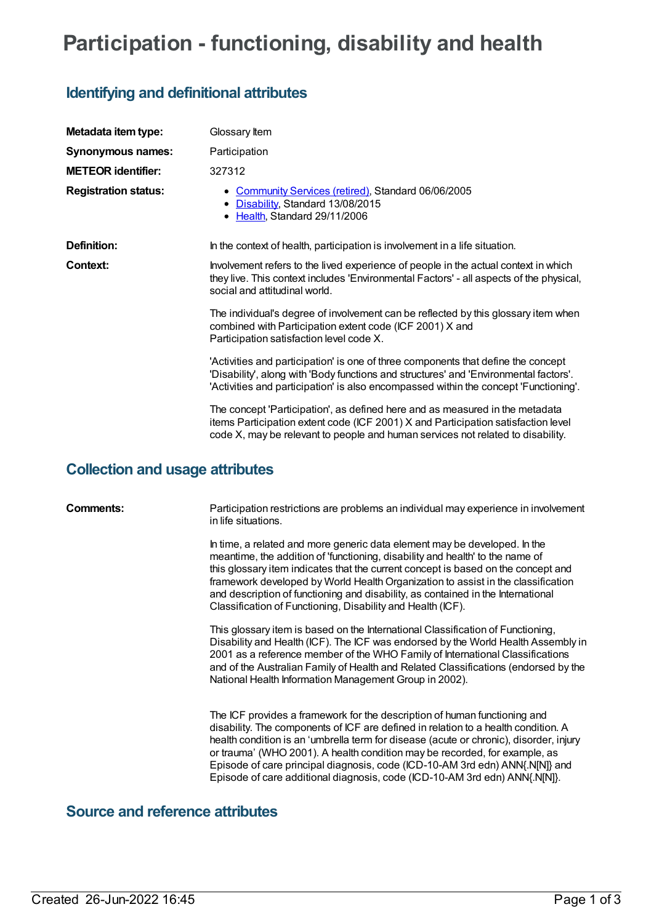# **Participation - functioning, disability and health**

## **Identifying and definitional attributes**

| Metadata item type:         | Glossary Item                                                                                                                                                                                                                                                      |
|-----------------------------|--------------------------------------------------------------------------------------------------------------------------------------------------------------------------------------------------------------------------------------------------------------------|
| Synonymous names:           | Participation                                                                                                                                                                                                                                                      |
| <b>METEOR identifier:</b>   | 327312                                                                                                                                                                                                                                                             |
| <b>Registration status:</b> | • Community Services (retired), Standard 06/06/2005<br>• Disability, Standard 13/08/2015<br>• Health, Standard 29/11/2006                                                                                                                                          |
| Definition:                 | In the context of health, participation is involvement in a life situation.                                                                                                                                                                                        |
| Context:                    | Involvement refers to the lived experience of people in the actual context in which<br>they live. This context includes 'Environmental Factors' - all aspects of the physical,<br>social and attitudinal world.                                                    |
|                             | The individual's degree of involvement can be reflected by this glossary item when<br>combined with Participation extent code (ICF 2001) X and<br>Participation satisfaction level code X.                                                                         |
|                             | 'Activities and participation' is one of three components that define the concept<br>'Disability', along with 'Body functions and structures' and 'Environmental factors'.<br>'Activities and participation' is also encompassed within the concept 'Functioning'. |
|                             | The concept 'Participation', as defined here and as measured in the metadata<br>items Participation extent code (ICF 2001) X and Participation satisfaction level<br>code X, may be relevant to people and human services not related to disability.               |

### **Collection and usage attributes**

**Comments:** Participation restrictions are problems an individual may experience in involvement in life situations.

> In time, a related and more generic data element may be developed. In the meantime, the addition of 'functioning, disability and health' to the name of this glossary item indicates that the current concept is based on the concept and framework developed by World Health Organization to assist in the classification and description of functioning and disability, as contained in the International Classification of Functioning, Disability and Health (ICF).

This glossary item is based on the International Classification of Functioning, Disability and Health (ICF). The ICF was endorsed by the World Health Assembly in 2001 as a reference member of the WHO Family of International Classifications and of the Australian Family of Health and Related Classifications (endorsed by the National Health Information Management Group in 2002).

The ICF provides a framework for the description of human functioning and disability. The components of ICF are defined in relation to a health condition. A health condition is an 'umbrella term for disease (acute or chronic), disorder, injury or trauma' (WHO 2001). A health condition may be recorded, for example, as Episode of care principal diagnosis, code (ICD-10-AM 3rd edn) ANN{.N[N]} and Episode of care additional diagnosis, code (ICD-10-AM 3rd edn) ANN{.N[N]}.

### **Source and reference attributes**